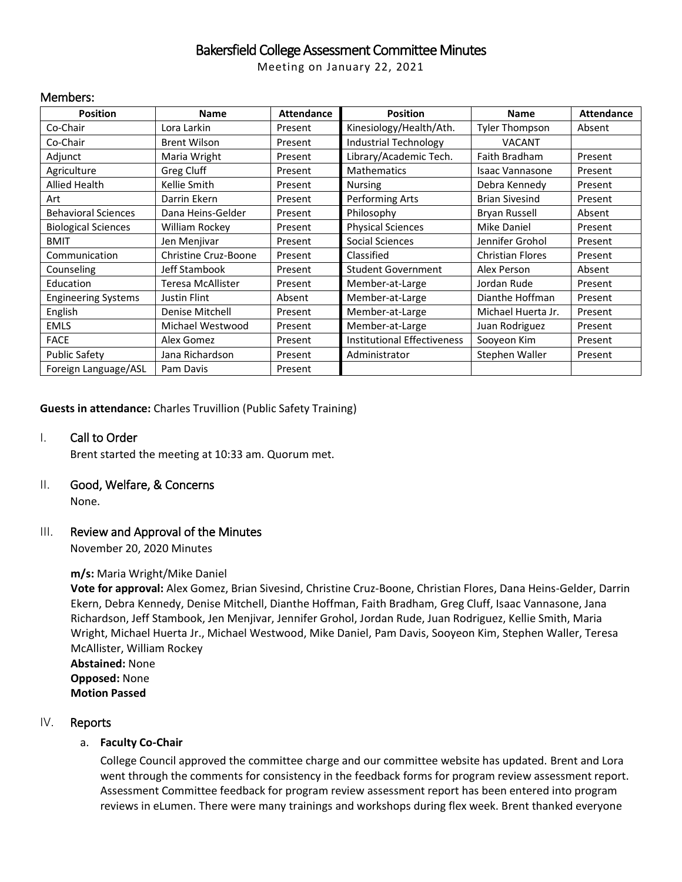## Bakersfield College Assessment Committee Minutes

Meeting on January 22, 2021

## Members:

| <b>Position</b>            | <b>Name</b>          | <b>Attendance</b> | <b>Position</b>                    | <b>Name</b>             | <b>Attendance</b> |
|----------------------------|----------------------|-------------------|------------------------------------|-------------------------|-------------------|
| Co-Chair                   | Lora Larkin          | Present           | Kinesiology/Health/Ath.            | Tyler Thompson          | Absent            |
| Co-Chair                   | <b>Brent Wilson</b>  | Present           | <b>Industrial Technology</b>       | <b>VACANT</b>           |                   |
| Adjunct                    | Maria Wright         | Present           | Library/Academic Tech.             | Faith Bradham           | Present           |
| Agriculture                | Greg Cluff           | Present           | <b>Mathematics</b>                 | <b>Isaac Vannasone</b>  | Present           |
| Allied Health              | Kellie Smith         | Present           | <b>Nursing</b>                     | Debra Kennedy           | Present           |
| Art                        | Darrin Ekern         | Present           | Performing Arts                    | <b>Brian Sivesind</b>   | Present           |
| <b>Behavioral Sciences</b> | Dana Heins-Gelder    | Present           | Philosophy                         | <b>Bryan Russell</b>    | Absent            |
| <b>Biological Sciences</b> | William Rockey       | Present           | <b>Physical Sciences</b>           | <b>Mike Daniel</b>      | Present           |
| <b>BMIT</b>                | Jen Menjivar         | Present           | Social Sciences                    | Jennifer Grohol         | Present           |
| Communication              | Christine Cruz-Boone | Present           | Classified                         | <b>Christian Flores</b> | Present           |
| Counseling                 | Jeff Stambook        | Present           | <b>Student Government</b>          | Alex Person             | Absent            |
| Education                  | Teresa McAllister    | Present           | Member-at-Large                    | Jordan Rude             | Present           |
| <b>Engineering Systems</b> | Justin Flint         | Absent            | Member-at-Large                    | Dianthe Hoffman         | Present           |
| English                    | Denise Mitchell      | Present           | Member-at-Large                    | Michael Huerta Jr.      | Present           |
| <b>EMLS</b>                | Michael Westwood     | Present           | Member-at-Large                    | Juan Rodriguez          | Present           |
| <b>FACE</b>                | Alex Gomez           | Present           | <b>Institutional Effectiveness</b> | Sooyeon Kim             | Present           |
| <b>Public Safety</b>       | Jana Richardson      | Present           | Administrator                      | Stephen Waller          | Present           |
| Foreign Language/ASL       | Pam Davis            | Present           |                                    |                         |                   |

**Guests in attendance:** Charles Truvillion (Public Safety Training)

## I. Call to Order

Brent started the meeting at 10:33 am. Quorum met.

# II. Good, Welfare, & Concerns

None.

## III. Review and Approval of the Minutes

November 20, 2020 Minutes

## **m/s:** Maria Wright/Mike Daniel

**Vote for approval:** Alex Gomez, Brian Sivesind, Christine Cruz-Boone, Christian Flores, Dana Heins-Gelder, Darrin Ekern, Debra Kennedy, Denise Mitchell, Dianthe Hoffman, Faith Bradham, Greg Cluff, Isaac Vannasone, Jana Richardson, Jeff Stambook, Jen Menjivar, Jennifer Grohol, Jordan Rude, Juan Rodriguez, Kellie Smith, Maria Wright, Michael Huerta Jr., Michael Westwood, Mike Daniel, Pam Davis, Sooyeon Kim, Stephen Waller, Teresa McAllister, William Rockey

**Abstained:** None **Opposed:** None **Motion Passed**

## IV. Reports

## a. **Faculty Co-Chair**

College Council approved the committee charge and our committee website has updated. Brent and Lora went through the comments for consistency in the feedback forms for program review assessment report. Assessment Committee feedback for program review assessment report has been entered into program reviews in eLumen. There were many trainings and workshops during flex week. Brent thanked everyone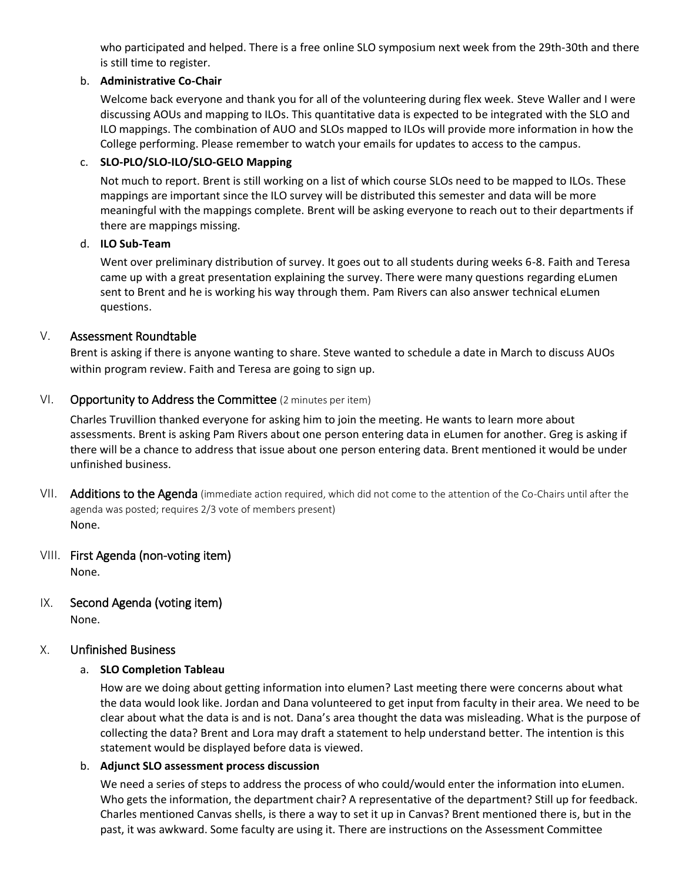who participated and helped. There is a free online SLO symposium next week from the 29th-30th and there is still time to register.

## b. **Administrative Co-Chair**

Welcome back everyone and thank you for all of the volunteering during flex week. Steve Waller and I were discussing AOUs and mapping to ILOs. This quantitative data is expected to be integrated with the SLO and ILO mappings. The combination of AUO and SLOs mapped to ILOs will provide more information in how the College performing. Please remember to watch your emails for updates to access to the campus.

## c. **SLO-PLO/SLO-ILO/SLO-GELO Mapping**

Not much to report. Brent is still working on a list of which course SLOs need to be mapped to ILOs. These mappings are important since the ILO survey will be distributed this semester and data will be more meaningful with the mappings complete. Brent will be asking everyone to reach out to their departments if there are mappings missing.

## d. **ILO Sub-Team**

Went over preliminary distribution of survey. It goes out to all students during weeks 6-8. Faith and Teresa came up with a great presentation explaining the survey. There were many questions regarding eLumen sent to Brent and he is working his way through them. Pam Rivers can also answer technical eLumen questions.

## V. Assessment Roundtable

Brent is asking if there is anyone wanting to share. Steve wanted to schedule a date in March to discuss AUOs within program review. Faith and Teresa are going to sign up.

## VI. Opportunity to Address the Committee (2 minutes per item)

Charles Truvillion thanked everyone for asking him to join the meeting. He wants to learn more about assessments. Brent is asking Pam Rivers about one person entering data in eLumen for another. Greg is asking if there will be a chance to address that issue about one person entering data. Brent mentioned it would be under unfinished business.

- VII. Additions to the Agenda (immediate action required, which did not come to the attention of the Co-Chairs until after the agenda was posted; requires 2/3 vote of members present) None.
- VIII. First Agenda (non-voting item) None.
- IX. Second Agenda (voting item) None.

## X. Unfinished Business

## a. **SLO Completion Tableau**

How are we doing about getting information into elumen? Last meeting there were concerns about what the data would look like. Jordan and Dana volunteered to get input from faculty in their area. We need to be clear about what the data is and is not. Dana's area thought the data was misleading. What is the purpose of collecting the data? Brent and Lora may draft a statement to help understand better. The intention is this statement would be displayed before data is viewed.

## b. **Adjunct SLO assessment process discussion**

We need a series of steps to address the process of who could/would enter the information into eLumen. Who gets the information, the department chair? A representative of the department? Still up for feedback. Charles mentioned Canvas shells, is there a way to set it up in Canvas? Brent mentioned there is, but in the past, it was awkward. Some faculty are using it. There are instructions on the Assessment Committee